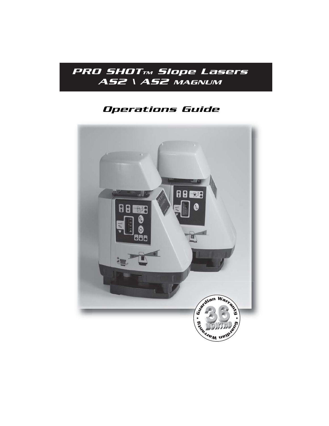

# *Operations Guide*

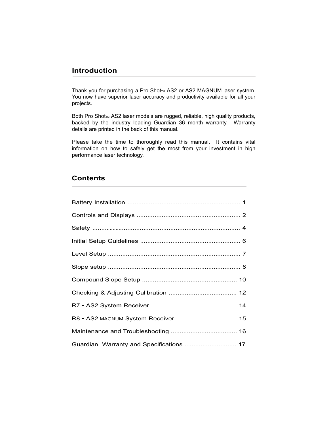## **Introduction**

Thank you for purchasing a Pro Shot<sub>TM</sub> AS2 or AS2 MAGNUM laser system. You now have superior laser accuracy and productivity available for all your projects.

Both Pro Shot<sub>™</sub> AS2 laser models are rugged, reliable, high quality products, backed by the industry leading Guardian 36 month warranty. Warranty details are printed in the back of this manual.

Please take the time to thoroughly read this manual. It contains vital information on how to safely get the most from your investment in high performance laser technology.

## **Contents**

Ī

| Guardian Warranty and Specifications  17 |  |
|------------------------------------------|--|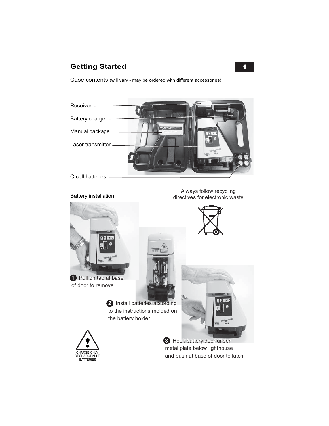## **Getting Started 1 and 1 and 1 and 1 and 1 and 1 and 1 and 1 and 1 and 1 and 1 and 1 and 1 and 1 and 1 and 1 and 1 and 1 and 1 and 1 and 1 and 1 and 1 and 1 and 1 and 1 and 1 and 1 and 1 and 1 and 1 and 1 and 1 and 1 and 1**

Case contents (will vary - may be ordered with different accessories)



Battery installation

Always follow recycling directives for electronic waste



of door to remove



2 Install batteries according to the instructions molded on the battery holder





metal plate below lighthouse and push at base of door to latch **3** Hook battery door under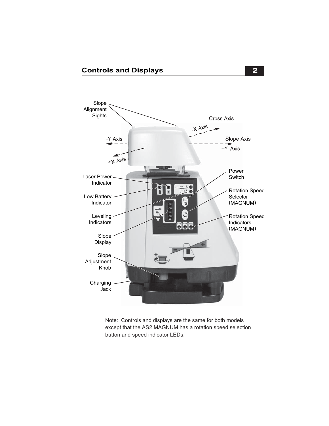

Note: Controls and displays are the same for both models except that the AS2 MAGNUM has a rotation speed selection button and speed indicator LEDs.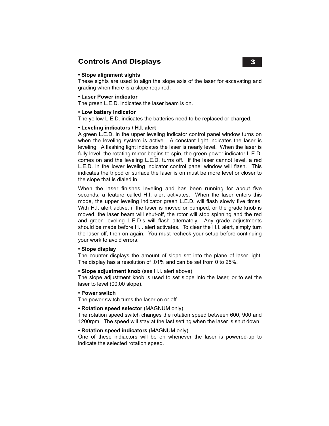## **Controls And Displays**

#### **• Slope alignment sights**

These sights are used to align the slope axis of the laser for excavating and grading when there is a slope required.

#### **• Laser Power indicator**

The green L.E.D. indicates the laser beam is on.

#### **• Low battery indicator**

The yellow L.E.D. indicates the batteries need to be replaced or charged.

#### **• Leveling indicators / H.I. alert**

A green L.E.D. in the upper leveling indicator control panel window turns on when the leveling system is active. A constant light indicates the laser is leveling. A flashing light indicates the laser is nearly level. When the laser is fully level, the rotating mirror begins to spin, the green power indicator L.E.D. comes on and the leveling L.E.D. turns off. If the laser cannot level, a red L.E.D. in the lower leveling indicator control panel window will flash. This indicates the tripod or surface the laser is on must be more level or closer to the slope that is dialed in.

When the laser finishes leveling and has been running for about five seconds, a feature called H.I. alert activates. When the laser enters this mode, the upper leveling indicator green L.E.D. will flash slowly five times. With H.I. alert active, if the laser is moved or bumped, or the grade knob is moved, the laser beam will shut-off, the rotor will stop spinning and the red and green leveling L.E.D.s will flash alternately. Any grade adjustments should be made before H.I. alert activates. To clear the H.I. alert, simply turn the laser off, then on again. You must recheck your setup before continuing your work to avoid errors. j

#### **• Slope display**

The counter displays the amount of slope set into the plane of laser light. The display has a resolution of .01% and can be set from 0 to 25%.

#### **• Slope adjustment knob** (see H.I. alert above)

The slope adjustment knob is used to set slope into the laser, or to set the laser to level (00.00 slope).

#### **• Power switch**

The power switch turns the laser on or off.

#### **• Rotation speed selector** (MAGNUM only)

The rotation speed switch changes the rotation speed between 600, 900 and 1200rpm. The speed will stay at the last setting when the laser is shut down.

#### **• Rotation speed indicators** (MAGNUM only)

One of these indiactors will be on whenever the laser is powered-up to indicate the selected rotation speed.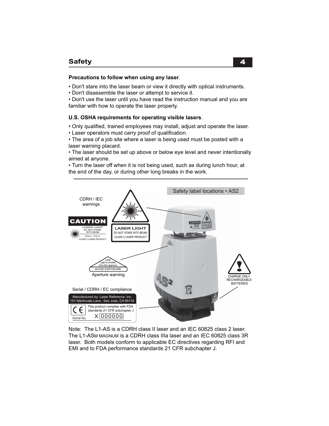#### **Precautions to follow when using any laser**.

- Don't stare into the laser beam or view it directly with optical instruments.
- Don't disassemble the laser or attempt to service it.

• Don't use the laser until you have read the instruction manual and you are familiar with how to operate the laser properly.

#### **U.S. OSHA requirements for operating visible lasers**.

- Only qualified, trained employees may install, adjust and operate the laser.
- Laser operators must carry proof of qualification.

• The area of a job site where a laser is being used must be posted with a laser warning placard.

• The laser should be set up above or below eye level and never intentionally aimed at anyone.

• Turn the laser off when it is not being used, such as during lunch hour, at the end of the day, or during other long breaks in the work.



Note: The L1-AS is a CDRH class II laser and an IEC 60825 class 2 laser. The L1-ASM MAGNUM is a CDRH class IIIa laser and an IEC 60825 class 3R laser. Both models conform to applicable EC directives regarding RFI and EMI and to FDA performance standards 21 CFR subchapter J.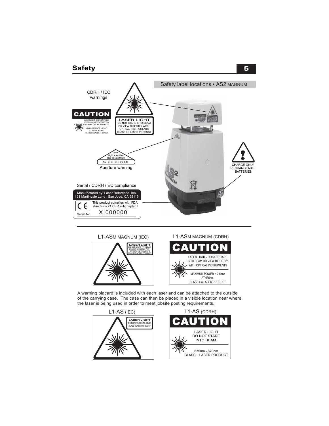## **Safety** 5





A warning placard is included with each laser and can be attached to the outside of the carrying case. The case can then be placed in a visible location near where the laser is being used in order to meet jobsite posting requirements.

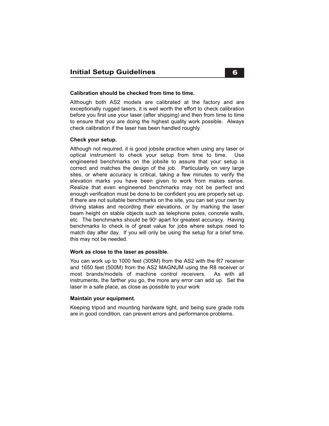#### **Calibration should be checked from time to time.**

Although both AS2 models are calibrated at the factory and are exceptionally rugged lasers, it is well worth the effort to check calibration before you first use your laser (after shipping) and then from time to time to ensure that you are doing the highest quality work possible. Always check calibration if the laser has been handled roughly.

#### **Check your setup.**

Although not required, it is good jobsite practice when using any laser or optical instrument to check your setup from time to time. Use engineered benchmarks on the jobsite to assure that your setup is correct and matches the design of the job. Particularily on very large sites, or where accuracy is critical, taking a few minutes to verify the elevation marks you have been given to work from makes sense. Realize that even engineered benchmarks may not be perfect and enough verification must be done to be confident you are properly set up. If there are not suitable benchmarks on the site, you can set your own by driving stakes and recording their elevations, or by marking the laser beam height on stable objects such as telephone poles, concrete walls, etc. The benchmarks should be  $90^\circ$  apart for greatest accuracy. Having benchmarks to check is of great value for jobs where setups need to match day after day. If you will only be using the setup for a brief time, this may not be needed.

#### **Work as close to the laser as possible.**

You can work up to 1000 feet (305M) from the AS2 with the R7 receiver and 1650 feet (500M) from the AS2 MAGNUM using the R8 receiver or most brands/models of machine control receivers. As with all instruments, the farther you go, the more any error can add up. Set the laser in a safe place, as close as possible to your work

#### **Maintain your equipment.**

Keeping tripod and mounting hardware tight, and being sure grade rods are in good condition, can prevent errors and performance problems.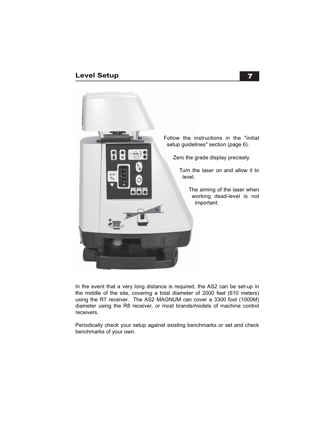## **Level Setup**



In the event that a very long distance is required, the AS2 can be set-up in the middle of the site, covering a total diameter of 2000 feet (610 meters) using the R7 receiver. The AS2 MAGNUM can cover a 3300 foot (1000M) diameter using the R8 receiver, or most brands/models of machine control receivers.

Periodically check your setup against existing benchmarks or set and check benchmarks of your own.

#### 7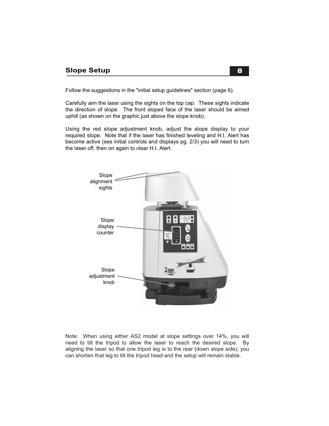Follow the suggestions in the "initial setup guidelines" section (page 6).

Carefully aim the laser using the sights on the top cap. These sights indicate the direction of slope. The front sloped face of the laser should be aimed uphill (as shown on the graphic just above the slope knob).

Using the red slope adjustment knob, adjust the slope display to your required slope. Note that if the laser has finished leveling and H.I. Alert has become active (see initial controls and displays pg. 2/3) you will need to turn the laser off, then on again to clear H.I. Alert.



Note: When using either AS2 model at slope settings over 14%, you will need to tilt the tripod to allow the laser to reach the desired slope. By aligning the laser so that one tripod leg is to the rear (down slope side), you can shorten that leg to tilt the tripod head and the setup will remain stable.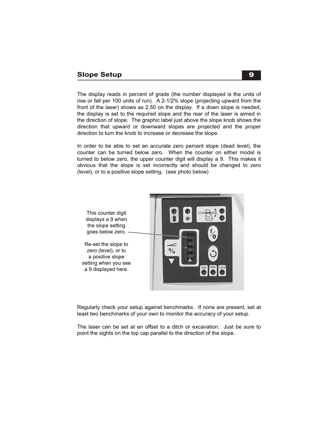### **Slope Setup**

The display reads in percent of grade (the number displayed is the units of rise or fall per 100 units of run). A 2-1/2% slope (projecting upward from the front of the laser) shows as 2.50 on the display. If a down slope is needed, the display is set to the required slope and the rear of the laser is aimed in the direction of slope. The graphic label just above the slope knob shows the direction that upward or downward slopes are projected and the proper direction to turn the knob to increase or decrease the slope.

In order to be able to set an accurate zero percent slope (dead level), the counter can be turned below zero. When the counter on either model is turned to below zero, the upper counter digit will display a 9. This makes it obvious that the slope is set incorrectly and should be changed to zero (level), or to a positive slope setting. (see photo below)



Regularly check your setup against benchmarks. If none are present, set at least two benchmarks of your own to monitor the accuracy of your setup.

The laser can be set at an offset to a ditch or excavation. Just be sure to point the sights on the top cap parallel to the direction of the slope.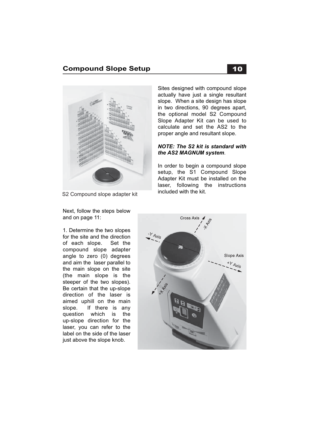## **Compound Slope Setup** 10



S2 Compound slope adapter kit

Next, follow the steps below

and on page 11:

Sites designed with compound slope actually have just a single resultant slope. When a site design has slope in two directions, 90 degrees apart, the optional model S2 Compound Slope Adapter Kit can be used to calculate and set the AS2 to the proper angle and resultant slope.

#### *NOTE: The S2 kit is standard with the AS2 MAGNUM system*.

In order to begin a compound slope setup, the S1 Compound Slope Adapter Kit must be installed on the laser, following the instructions included with the kit.

1. Determine the two slopes for the site and the direction of each slope. Set the compound slope adapter angle to zero (0) degrees and aim the laser parallel to the main slope on the site (the main slope is the steeper of the two slopes). Be certain that the up-slope direction of the laser is aimed uphill on the main slope. If there is any question which is the up-slope direction for the laser, you can refer to the label on the side of the laser just above the slope knob.

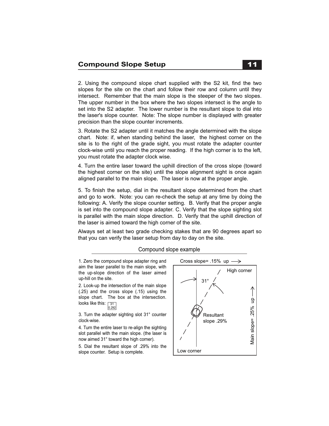2. Using the compound slope chart supplied with the S2 kit, find the two slopes for the site on the chart and follow their row and column until they intersect. Remember that the main slope is the steeper of the two slopes. The upper number in the box where the two slopes intersect is the angle to set into the S2 adapter. The lower number is the resultant slope to dial into the laser's slope counter. Note: The slope number is displayed with greater precision than the slope counter increments.

3. Rotate the S2 adapter until it matches the angle determined with the slope chart. Note: if, when standing behind the laser, the highest corner on the site is to the right of the grade sight, you must rotate the adapter counter clock-wise until you reach the proper reading. If the high corner is to the left, you must rotate the adapter clock wise.

4. Turn the entire laser toward the uphill direction of the cross slope (toward the highest corner on the site) until the slope alignment sight is once again aligned parallel to the main slope. The laser is now at the proper angle.

5. To finish the setup, dial in the resultant slope determined from the chart and go to work. Note: you can re-check the setup at any time by doing the following: A. Verify the slope counter setting. B. Verify that the proper angle is set into the compound slope adapter. C. Verify that the slope sighting slot is parallel with the main slope direction. D. Verify that the uphill direction of the laser is aimed toward the high corner of the site.

Always set at least two grade checking stakes that are 90 degrees apart so that you can verify the laser setup from day to day on the site.

#### Compound slope example

1. Zero the compound slope adapter ring and aim the laser parallel to the main slope, with the up-slope direction of the laser aimed up-hill on the site.

2. Look-up the intersection of the main slope (.25) and the cross slope (.15) using the slope chart. The box at the intersection. looks like this: <sub>「उ1</sub> 0.292

3. Turn the adapter sighting slot 31° counter clock-wise.

4. Turn the entire laser to re-align the sighting slot parallel with the main slope. (the laser is now aimed 31° toward the high corner).

5. Dial the resultant slope of .29% into the slope counter. Setup is complete.

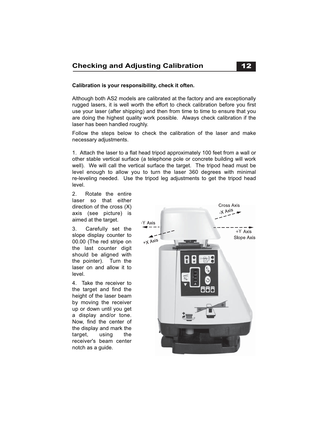### **Calibration is your responsibility, check it often.**

Although both AS2 models are calibrated at the factory and are exceptionally rugged lasers, it is well worth the effort to check calibration before you first use your laser (after shipping) and then from time to time to ensure that you are doing the highest quality work possible. Always check calibration if the laser has been handled roughly.

Follow the steps below to check the calibration of the laser and make necessary adjustments.

1. Attach the laser to a flat head tripod approximately 100 feet from a wall or other stable vertical surface (a telephone pole or concrete building will work well). We will call the vertical surface the target. The tripod head must be level enough to allow you to turn the laser 360 degrees with minimal re-leveling needed. Use the tripod leg adjustments to get the tripod head level.

2. Rotate the entire laser so that either direction of the cross (X) axis (see picture) is aimed at the target.

3. Carefully set the slope display counter to 00.00 (The red stripe on the last counter digit should be aligned with the pointer). Turn the laser on and allow it to level.

4. Take the receiver to the target and find the height of the laser beam by moving the receiver up or down until you get a display and/or tone. Now, find the center of the display and mark the target, using the receiver's beam center notch as a guide.

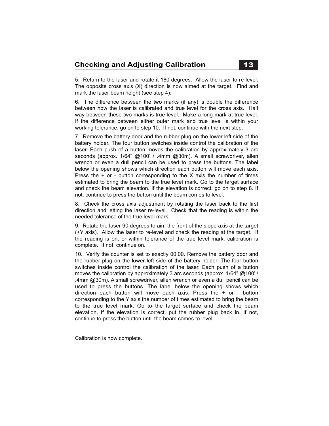5. Return to the laser and rotate it 180 degrees. Allow the laser to re-level. The opposite cross axis (X) direction is now aimed at the target. Find and mark the laser beam height (see step 4).

6. The difference between the two marks (if any) is double the difference between how the laser is calibrated and true level for the cross axis. Half way between these two marks is true level. Make a long mark at true level. If the difference between either outer mark and true level is within your working tolerance, go on to step 10. If not, continue with the next step.

7. Remove the battery door and the rubber plug on the lower left side of the battery holder. The four button switches inside control the calibration of the laser. Each push of a button moves the calibration by approximately 3 arc seconds (approx. 1/64" @100' / .4mm @30m). A small screwdriver, allen wrench or even a dull pencil can be used to press the buttons. The label below the opening shows which direction each button will move each axis. Press the  $+$  or - button corresponding to the X axis the number of times estimated to bring the beam to the true level mark. Go to the target surface and check the beam elevation. If the elevation is correct, go on to step 8. If not, continue to press the button until the beam comes to level.

8. Check the cross axis adjustment by rotating the laser back to the first direction and letting the laser re-level. Check that the reading is within the needed tolerance of the true level mark.

9. Rotate the laser 90 degrees to aim the front of the slope axis at the target (+Y axis). Allow the laser to re-level and check the reading at the target. If the reading is on, or within tolerance of the true level mark, calibration is complete. If not, continue on.

10. Verify the counter is set to exactly 00.00. Remove the battery door and the rubber plug on the lower left side of the battery holder. The four button switches inside control the calibration of the laser. Each push of a button moves the calibration by approximately 3 arc seconds (approx. 1/64" @100' / .4mm @30m). A small screwdriver, allen wrench or even a dull pencil can be used to press the buttons. The label below the opening shows which direction each button will move each axis. Press the + or - button corresponding to the Y axis the number of times estimated to bring the beam to the true level mark. Go to the target surface and check the beam elevation. If the elevation is correct, put the rubber plug back in. If not, continue to press the button until the beam comes to level.

Calibration is now complete.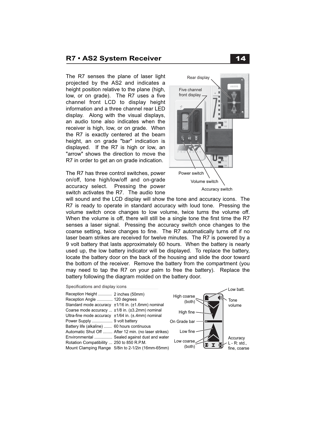#### **R7 • AS2 System Receiver**

The R7 senses the plane of laser light projected by the AS2 and indicates a height position relative to the plane (high, low, or on grade). The R7 uses a five channel front LCD to display height information and a three channel rear LED display. Along with the visual displays, an audio tone also indicates when the receiver is high, low, or on grade. When the R7 is exactly centered at the beam height, an on grade "bar" indication is displayed. If the R7 is high or low, an "arrow" shows the direction to move the R7 in order to get an on grade indication.

The R7 has three control switches, power on/off, tone high/low/off and on-grade accuracy select. Pressing the power switch activates the R7. The audio tone



will sound and the LCD display will show the tone and accuracy icons. The R7 is ready to operate in standard accuracy with loud tone. Pressing the volume switch once changes to low volume, twice turns the volume off. When the volume is off, there will still be a single tone the first time the R7 senses a laser signal. Pressing the accuracy switch once changes to the coarse setting, twice changes to fine. The R7 automatically turns off if no laser beam strikes are received for twelve minutes. The R7 is powered by a 9 volt battery that lasts approximately 60 hours. When the battery is nearly used up, the low battery indicator will be displayed. To replace the battery, locate the battery door on the back of the housing and slide the door toward the bottom of the receiver. Remove the battery from the compartment (you may need to tap the R7 on your palm to free the battery). Replace the battery following the diagram molded on the battery door.

| Specifications and display icons                                                                                                               | Low batt.                                                           |
|------------------------------------------------------------------------------------------------------------------------------------------------|---------------------------------------------------------------------|
| Reception Height  2 inches (50mm)<br>Reception Angle  120 degrees<br>Standard mode accuracy ±1/16 in. (±1.6mm) nominal                         | High coarse<br>Tone<br>(both)<br>volume                             |
| Coarse mode accuracy  ±1/8 in. (±3.2mm) nominal<br>Ultra-fine mode accuracy $\pm 1/64$ in. ( $\pm$ .4mm) nominal                               | High fine                                                           |
|                                                                                                                                                | On Grade bar                                                        |
| Battery life (alkaline)  60 hours continuous<br>Automatic Shut Off  After 12 min. (no laser strikes)                                           | Low fine                                                            |
| Environmental  Sealed against dust and water<br>Rotation Compatibility  250 to 850 R.P.M.<br>Mount Clamping Range 5/8in to 2-1/2in (16mm-65mm) | Accuracy<br>Low coarse<br>$L - R$ : std.,<br>(both)<br>fine, coarse |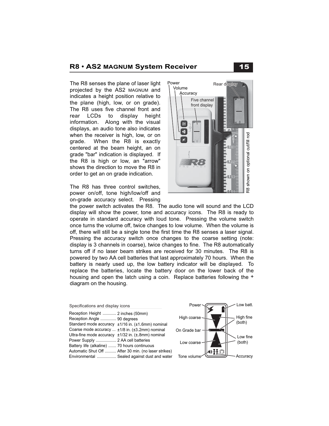### **R8 • AS2 MAGNUM System Receiver**

The R8 senses the plane of laser light  $\frac{P}{P}$   $\frac{P}{P}$  ever ear display projected by the AS2 MAGNUM and indicates a height position relative to the plane (high, low, or on grade). The R8 uses five channel front and rear LCDs to display height information. Along with the visual displays, an audio tone also indicates when the receiver is high, low, or on grade. When the R8 is exactly centered at the beam height, an on grade "bar" indication is displayed. If the R8 is high or low, an "arrow" shows the direction to move the R8 in order to get an on grade indication.

Ī

The R8 has three control switches, power on/off, tone high/low/off and on-grade accuracy select. Pressing



the power switch activates the R8. The audio tone will sound and the LCD display will show the power, tone and accuracy icons. The R8 is ready to operate in standard accuracy with loud tone. Pressing the volume switch once turns the volume off, twice changes to low volume. When the volume is off, there will still be a single tone the first time the R8 senses a laser signal. Pressing the accuracy switch once changes to the coarse setting (note: display is 3 channels in coarse), twice changes to fine. The R8 automatically turns off if no laser beam strikes are received for 30 minutes. The R8 is powered by two AA cell batteries that last approximately 70 hours. When the battery is nearly used up, the low battery indicator will be displayed. To replace the batteries, locate the battery door on the lower back of the housing and open the latch using a coin. Replace batteries following the  $+$ diagram on the housing.

| Specifications and display icons                                 |  | Power        |  |
|------------------------------------------------------------------|--|--------------|--|
| Reception Height  2 inches (50mm)<br>Reception Angle  90 degrees |  | High coarse  |  |
| Standard mode accuracy ±1/16 in. (±1.6mm) nominal                |  |              |  |
| Coarse mode accuracy  ±1/8 in. (±3.2mm) nominal                  |  | On Grade bar |  |
| Ultra-fine mode accuracy $\pm 1/32$ in. ( $\pm$ .8mm) nominal    |  |              |  |
| Power Supply  2 AA cell batteries                                |  | Low coarse   |  |
| Battery life (alkaline)  70 hours continuous                     |  |              |  |
| Automatic Shut Off  After 30 min. (no laser strikes)             |  |              |  |
| Environmental  Sealed against dust and water                     |  | Tone volume  |  |



15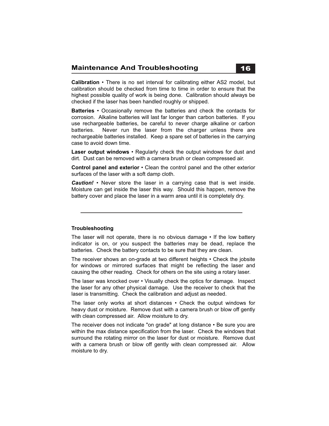**Calibration** • There is no set interval for calibrating either AS2 model, but calibration should be checked from time to time in order to ensure that the highest possible quality of work is being done. Calibration should always be checked if the laser has been handled roughly or shipped.

**Batteries** • Occasionally remove the batteries and check the contacts for corrosion. Alkaline batteries will last far longer than carbon batteries. If you use rechargeable batteries, be careful to never charge alkaline or carbon batteries. Never run the laser from the charger unless there are rechargeable batteries installed. Keep a spare set of batteries in the carrying case to avoid down time.

**Laser output windows** • Regularly check the output windows for dust and dirt. Dust can be removed with a camera brush or clean compressed air.

**Control panel and exterior** • Clean the control panel and the other exterior surfaces of the laser with a soft damp cloth.

*Caution!* • Never store the laser in a carrying case that is wet inside. Moisture can get inside the laser this way. Should this happen, remove the battery cover and place the laser in a warm area until it is completely dry.

#### **Troubleshooting**

The laser will not operate, there is no obvious damage  $\cdot$  If the low battery indicator is on, or you suspect the batteries may be dead, replace the batteries. Check the battery contacts to be sure that they are clean.

The receiver shows an on-grade at two different heights • Check the jobsite for windows or mirrored surfaces that might be reflecting the laser and causing the other reading. Check for others on the site using a rotary laser.

The laser was knocked over • Visually check the optics for damage. Inspect the laser for any other physical damage. Use the receiver to check that the laser is transmitting. Check the calibration and adjust as needed.

The laser only works at short distances • Check the output windows for heavy dust or moisture. Remove dust with a camera brush or blow off gently with clean compressed air. Allow moisture to dry.

The receiver does not indicate "on grade" at long distance • Be sure you are within the max distance specification from the laser. Check the windows that surround the rotating mirror on the laser for dust or moisture. Remove dust with a camera brush or blow off gently with clean compressed air. Allow moisture to dry.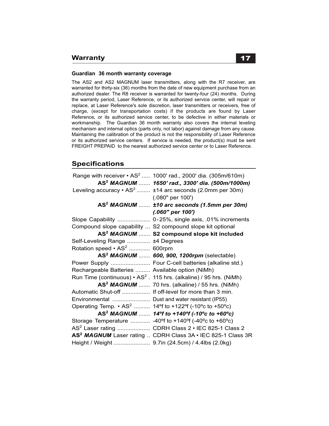#### **Guardian 36 month warranty coverage**

The AS2 and AS2 MAGNUM laser transmitters, along with the R7 receiver, are warranted for thirty-six (36) months from the date of new equipment purchase from an authorized dealer. The R8 receiver is warranted for twenty-four (24) months. During the warranty period, Laser Reference, or its authorized service center, will repair or replace, at Laser Reference's sole discretion, laser transmitters or receivers, free of charge, (except for transportation costs) if the products are found by Laser Reference, or its authorized service center, to be defective in either materials or workmanship. The Guardian 36 month warranty also covers the internal leveling mechanism and internal optics (parts only, not labor) against damage from any cause. Maintaining the calibration of the product is not the responsibility of Laser Reference or its authorized service centers. If service is needed, the product(s) must be sent FREIGHT PREPAID to the nearest authorized service center or to Laser Reference.

## **Specifications**

|                                                 | Range with receiver • AS <sup>2</sup> 1000' rad., 2000' dia. (305m/610m)                                                    |
|-------------------------------------------------|-----------------------------------------------------------------------------------------------------------------------------|
|                                                 | AS <sup>2</sup> MAGNUM  1650' rad., 3300' dia. (500m/1000m)                                                                 |
|                                                 | Leveling accuracy $\cdot$ AS <sup>2</sup> $\pm$ 14 arc seconds (2.0mm per 30m)                                              |
|                                                 | $(.080"$ per 100')                                                                                                          |
|                                                 | AS <sup>2</sup> MAGNUM  ±10 arc seconds (1.5mm per 30m)                                                                     |
|                                                 | $(.060"$ per 100')                                                                                                          |
|                                                 | Slope Capability  0-25%, single axis, .01% increments                                                                       |
|                                                 | Compound slope capability  S2 compound slope kit optional                                                                   |
|                                                 | AS <sup>2</sup> MAGNUM  S2 compound slope kit included                                                                      |
| Self-Leveling Range  ±4 Degrees                 |                                                                                                                             |
| Rotation speed • AS <sup>2</sup> 600rpm         |                                                                                                                             |
|                                                 | AS <sup>2</sup> MAGNUM  600, 900, 1200rpm (selectable)                                                                      |
|                                                 | Power Supply  Four C-cell batteries (alkaline std.)                                                                         |
| Rechargeable Batteries  Available option (NiMh) |                                                                                                                             |
|                                                 | Run Time (continuous) $\cdot$ AS <sup>2</sup> . 115 hrs. (alkaline) / 95 hrs. (NiMh)                                        |
|                                                 | $AS2 MAGNUM $ 70 hrs. (alkaline) / 55 hrs. (NiMh)                                                                           |
|                                                 | Automatic Shut-off  If off-level for more than 3 min.                                                                       |
| Environmental  Dust and water resistant (IP55)  |                                                                                                                             |
|                                                 | Operating Temp. $\cdot$ AS <sup>2</sup> 14 <sup>o</sup> f to +122 <sup>o</sup> f (-10 <sup>o</sup> c to +50 <sup>o</sup> c) |
|                                                 | AS <sup>2</sup> MAGNUM  14 <sup>o</sup> f to +140 <sup>o</sup> f (-10 <sup>o</sup> c to +60 <sup>o</sup> c)                 |
|                                                 | Storage Temperature  -40°f to +140°f (-40°c to +60°c)                                                                       |
|                                                 | AS <sup>2</sup> Laser rating  CDRH Class 2 • IEC 825-1 Class 2                                                              |
|                                                 | AS <sup>2</sup> MAGNUM Laser rating  CDRH Class 3A • IEC 825-1 Class 3R                                                     |
|                                                 | Height / Weight  9.7in (24.5cm) / 4.4lbs (2.0kg)                                                                            |